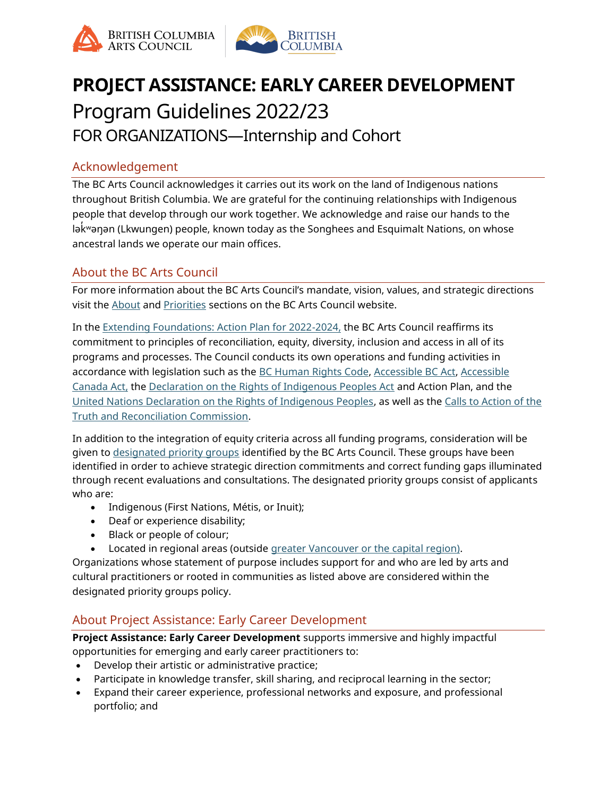



# **PROJECT ASSISTANCE: EARLY CAREER DEVELOPMENT** Program Guidelines 2022/23

FOR ORGANIZATIONS—Internship and Cohort

# Acknowledgement

The BC Arts Council acknowledges it carries out its work on the land of Indigenous nations throughout British Columbia. We are grateful for the continuing relationships with Indigenous people that develop through our work together. We acknowledge and raise our hands to the lək ̓ ʷəŋən (Lkwungen) people, known today as the Songhees and Esquimalt Nations, on whose ancestral lands we operate our main offices.

# About the BC Arts Council

For more information about the BC Arts Council's mandate, vision, values, and strategic directions visit the [About](https://www.bcartscouncil.ca/about/) and [Priorities](https://www.bcartscouncil.ca/priorities/) sections on the BC Arts Council website.

In the [Extending Foundations: Action Plan for 2022-2024,](https://www.bcartscouncil.ca/priorities/) the BC Arts Council reaffirms its commitment to principles of reconciliation, equity, diversity, inclusion and access in all of its programs and processes. The Council conducts its own operations and funding activities in accordance with legislation such as the [BC Human Rights Code,](https://www2.gov.bc.ca/assets/gov/law-crime-and-justice/human-rights/human-rights-protection/what-you-need-to-know.pdf) [Accessible BC Act,](https://www.bclaws.gov.bc.ca/civix/document/id/complete/statreg/21019) [Accessible](https://laws-lois.justice.gc.ca/eng/acts/A-0.6/)  [Canada Act,](https://laws-lois.justice.gc.ca/eng/acts/A-0.6/) the [Declaration on the Rights of Indigenous Peoples Act](https://www.bclaws.gov.bc.ca/civix/document/id/complete/statreg/19044) and Action Plan, and the [United Nations Declaration on the Rights of Indigenous Peoples,](http://www.un.org/esa/socdev/unpfii/documents/DRIPS_en.pdf) as well as the [Calls to Action of the](https://www2.gov.bc.ca/assets/gov/british-columbians-our-governments/indigenous-people/aboriginal-peoples-documents/calls_to_action_english2.pdf)  [Truth and Reconciliation Commission.](https://www2.gov.bc.ca/assets/gov/british-columbians-our-governments/indigenous-people/aboriginal-peoples-documents/calls_to_action_english2.pdf)

In addition to the integration of equity criteria across all funding programs, consideration will be given to [designated priority groups](https://www.bcartscouncil.ca/priorities/priority-groups/) identified by the BC Arts Council. These groups have been identified in order to achieve strategic direction commitments and correct funding gaps illuminated through recent evaluations and consultations. The designated priority groups consist of applicants who are:

- Indigenous (First Nations, Métis, or Inuit);
- Deaf or experience disability;
- Black or people of colour;
- Located in regional areas (outside [greater Vancouver or the capital region\)](https://www.bcartscouncil.ca/accessibility/glossary/).

Organizations whose statement of purpose includes support for and who are led by arts and cultural practitioners or rooted in communities as listed above are considered within the designated priority groups policy.

# About Project Assistance: Early Career Development

**Project Assistance: Early Career Development** supports immersive and highly impactful opportunities for emerging and early career practitioners to:

- Develop their artistic or administrative practice;
- Participate in knowledge transfer, skill sharing, and reciprocal learning in the sector;
- Expand their career experience, professional networks and exposure, and professional portfolio; and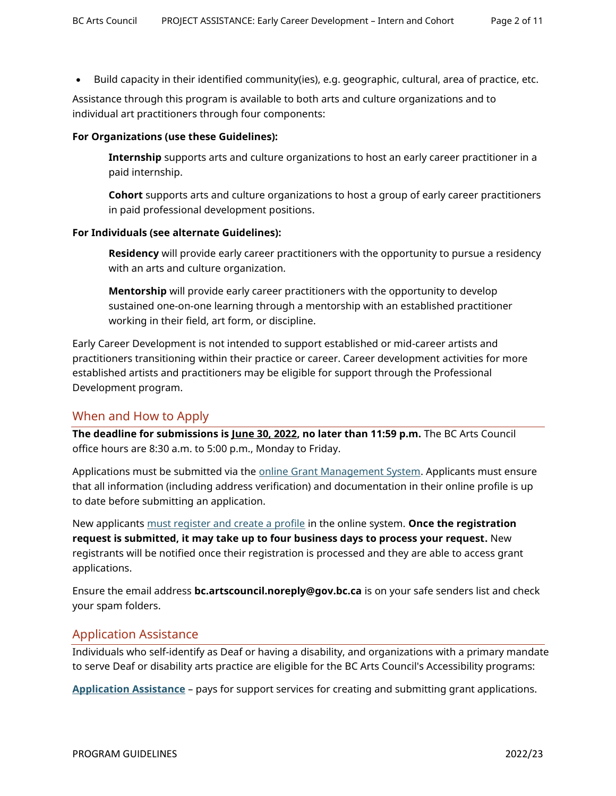• Build capacity in their identified community(ies), e.g. geographic, cultural, area of practice, etc.

Assistance through this program is available to both arts and culture organizations and to individual art practitioners through four components:

#### **For Organizations (use these Guidelines):**

**Internship** supports arts and culture organizations to host an early career practitioner in a paid internship.

**Cohort** supports arts and culture organizations to host a group of early career practitioners in paid professional development positions.

#### **For Individuals (see alternate Guidelines):**

**Residency** will provide early career practitioners with the opportunity to pursue a residency with an arts and culture organization.

**Mentorship** will provide early career practitioners with the opportunity to develop sustained one-on-one learning through a mentorship with an established practitioner working in their field, art form, or discipline.

Early Career Development is not intended to support established or mid-career artists and practitioners transitioning within their practice or career. Career development activities for more established artists and practitioners may be eligible for support through the Professional Development program.

## When and How to Apply

**The deadline for submissions is June 30, 2022, no later than 11:59 p.m.** The BC Arts Council office hours are 8:30 a.m. to 5:00 p.m., Monday to Friday.

Applications must be submitted via the [online Grant Management System.](https://bcac.smartsimple.ca/s_Login.jsp) Applicants must ensure that all information (including address verification) and documentation in their online profile is up to date before submitting an application.

New applicants [must register and create a profile](https://www.bcartscouncil.ca/how-to-apply-online/) in the online system. **Once the registration request is submitted, it may take up to four business days to process your request.** New registrants will be notified once their registration is processed and they are able to access grant applications.

Ensure the email address **bc.artscouncil.noreply@gov.bc.ca** is on your safe senders list and check your spam folders.

## Application Assistance

Individuals who self-identify as Deaf or having a disability, and organizations with a primary mandate to serve Deaf or disability arts practice are eligible for the BC Arts Council's Accessibility programs:

**[Application Assistance](https://www.bcartscouncil.ca/program/application-assistance/)** – pays for support services for creating and submitting grant applications.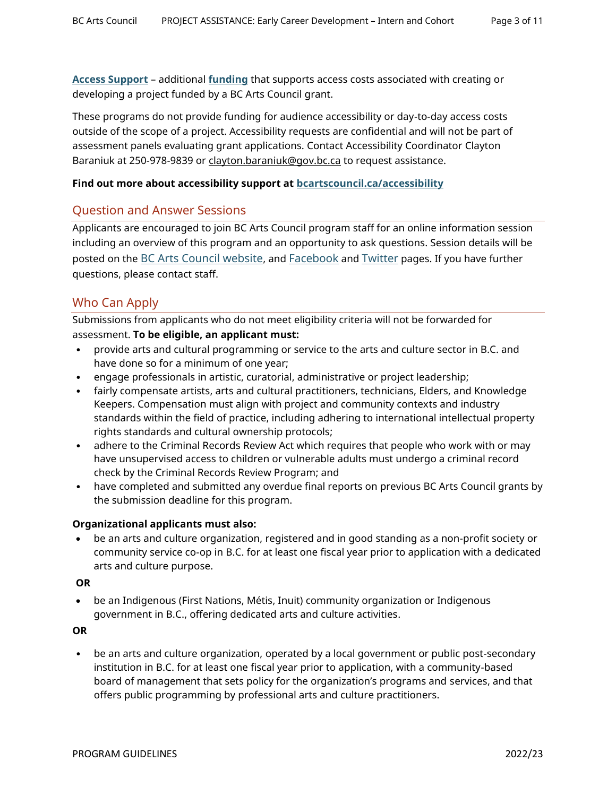**[Access Support](https://www.bcartscouncil.ca/program/access-support)** – additional **funding** that supports access costs associated with creating or developing a project funded by a BC Arts Council grant.

These programs do not provide funding for audience accessibility or day-to-day access costs outside of the scope of a project. Accessibility requests are confidential and will not be part of assessment panels evaluating grant applications. Contact Accessibility Coordinator Clayton Baraniuk at 250-978-9839 or [clayton.baraniuk@gov.bc.ca](mailto:clayton.baraniuk@gov.bc.ca) to request assistance.

#### **Find out more about accessibility support at [bcartscouncil.ca/accessibility](http://www.bcartscouncil.ca/accessibility)**

## Question and Answer Sessions

Applicants are encouraged to join BC Arts Council program staff for an online information session including an overview of this program and an opportunity to ask questions. Session details will be posted on the [BC Arts Council website](https://www.bcartscouncil.ca/news/), and [Facebook](https://www.facebook.com/BritishColumbiaArtsCouncil) and [Twitter](https://twitter.com/BCArtsCouncil) pages. If you have further questions, please contact staff.

# Who Can Apply

Submissions from applicants who do not meet eligibility criteria will not be forwarded for assessment. **To be eligible, an applicant must:**

- provide arts and cultural programming or service to the arts and culture sector in B.C. and have done so for a minimum of one year;
- engage professionals in artistic, curatorial, administrative or project leadership;
- fairly compensate artists, arts and cultural practitioners, technicians, Elders, and Knowledge Keepers. Compensation must align with project and community contexts and industry standards within the field of practice, including adhering to international intellectual property rights standards and cultural ownership protocols;
- adhere to the Criminal Records Review Act which requires that people who work with or may have unsupervised access to children or vulnerable adults must undergo a criminal record check by the Criminal Records Review Program; and
- have completed and submitted any overdue final reports on previous BC Arts Council grants by the submission deadline for this program.

#### **Organizational applicants must also:**

• be an arts and culture organization, registered and in good standing as a non-profit society or community service co-op in B.C. for at least one fiscal year prior to application with a dedicated arts and culture purpose.

## **OR**

• be an Indigenous (First Nations, Métis, Inuit) community organization or Indigenous government in B.C., offering dedicated arts and culture activities.

**OR**

• be an arts and culture organization, operated by a local government or public post-secondary institution in B.C. for at least one fiscal year prior to application, with a community-based board of management that sets policy for the organization's programs and services, and that offers public programming by professional arts and culture practitioners.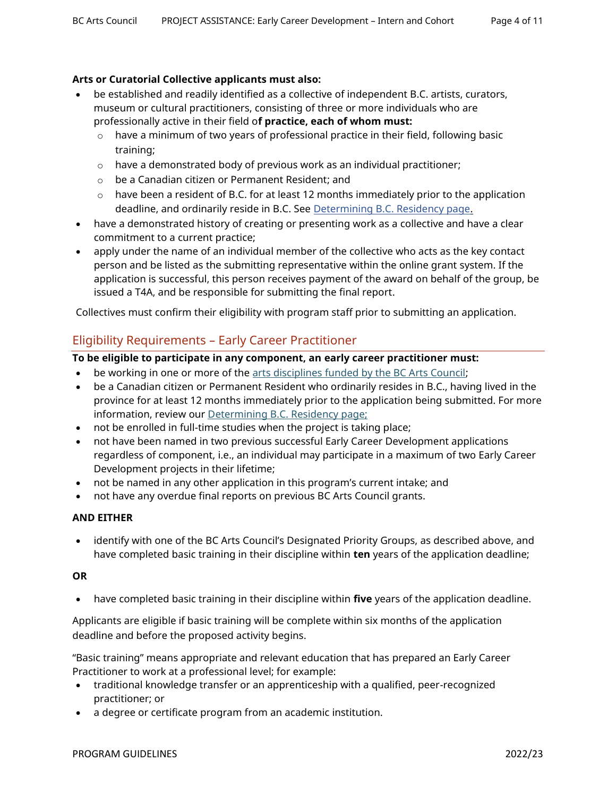## **Arts or Curatorial Collective applicants must also:**

- be established and readily identified as a collective of independent B.C. artists, curators, museum or cultural practitioners, consisting of three or more individuals who are professionally active in their field o**f practice, each of whom must:**
	- $\circ$  have a minimum of two years of professional practice in their field, following basic training;
	- $\circ$  have a demonstrated body of previous work as an individual practitioner;
	- o be a Canadian citizen or Permanent Resident; and
	- $\circ$  have been a resident of B.C. for at least 12 months immediately prior to the application deadline, and ordinarily reside in B.C. See [Determining B.C. Residency page.](https://www.bcartscouncil.ca/determining-b-c-residency/)
- have a demonstrated history of creating or presenting work as a collective and have a clear commitment to a current practice;
- apply under the name of an individual member of the collective who acts as the key contact person and be listed as the submitting representative within the online grant system. If the application is successful, this person receives payment of the award on behalf of the group, be issued a T4A, and be responsible for submitting the final report.

Collectives must confirm their eligibility with program staff prior to submitting an application.

# Eligibility Requirements – Early Career Practitioner

#### **To be eligible to participate in any component, an early career practitioner must:**

- be working in one or more of the [arts disciplines funded by the BC Arts Council;](https://www.bcartscouncil.ca/disciplines-and-practices/)
- be a Canadian citizen or Permanent Resident who ordinarily resides in B.C., having lived in the province for at least 12 months immediately prior to the application being submitted. For more information, review our [Determining B.C. Residency page;](https://www.bcartscouncil.ca/determining-b-c-residency/)
- not be enrolled in full-time studies when the project is taking place;
- not have been named in two previous successful Early Career Development applications regardless of component, i.e., an individual may participate in a maximum of two Early Career Development projects in their lifetime;
- not be named in any other application in this program's current intake; and
- not have any overdue final reports on previous BC Arts Council grants.

#### **AND EITHER**

• identify with one of the BC Arts Council's Designated Priority Groups, as described above, and have completed basic training in their discipline within **ten** years of the application deadline;

#### **OR**

• have completed basic training in their discipline within **five** years of the application deadline.

Applicants are eligible if basic training will be complete within six months of the application deadline and before the proposed activity begins.

"Basic training" means appropriate and relevant education that has prepared an Early Career Practitioner to work at a professional level; for example:

- traditional knowledge transfer or an apprenticeship with a qualified, peer-recognized practitioner; or
- a degree or certificate program from an academic institution.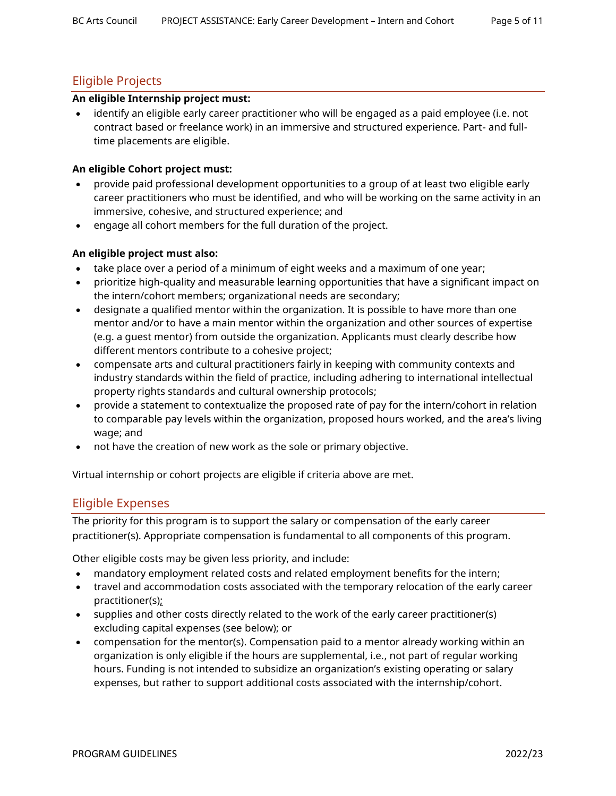# Eligible Projects

#### **An eligible Internship project must:**

• identify an eligible early career practitioner who will be engaged as a paid employee (i.e. not contract based or freelance work) in an immersive and structured experience. Part- and fulltime placements are eligible.

#### **An eligible Cohort project must:**

- provide paid professional development opportunities to a group of at least two eligible early career practitioners who must be identified, and who will be working on the same activity in an immersive, cohesive, and structured experience; and
- engage all cohort members for the full duration of the project.

#### **An eligible project must also:**

- take place over a period of a minimum of eight weeks and a maximum of one year;
- prioritize high-quality and measurable learning opportunities that have a significant impact on the intern/cohort members; organizational needs are secondary;
- designate a qualified mentor within the organization. It is possible to have more than one mentor and/or to have a main mentor within the organization and other sources of expertise (e.g. a guest mentor) from outside the organization. Applicants must clearly describe how different mentors contribute to a cohesive project;
- compensate arts and cultural practitioners fairly in keeping with community contexts and industry standards within the field of practice, including adhering to international intellectual property rights standards and cultural ownership protocols;
- provide a statement to contextualize the proposed rate of pay for the intern/cohort in relation to comparable pay levels within the organization, proposed hours worked, and the area's living wage; and
- not have the creation of new work as the sole or primary objective.

Virtual internship or cohort projects are eligible if criteria above are met.

# Eligible Expenses

The priority for this program is to support the salary or compensation of the early career practitioner(s). Appropriate compensation is fundamental to all components of this program.

Other eligible costs may be given less priority, and include:

- mandatory employment related costs and related employment benefits for the intern;
- travel and accommodation costs associated with the temporary relocation of the early career practitioner(s);
- supplies and other costs directly related to the work of the early career practitioner(s) excluding capital expenses (see below); or
- compensation for the mentor(s). Compensation paid to a mentor already working within an organization is only eligible if the hours are supplemental, i.e., not part of regular working hours. Funding is not intended to subsidize an organization's existing operating or salary expenses, but rather to support additional costs associated with the internship/cohort.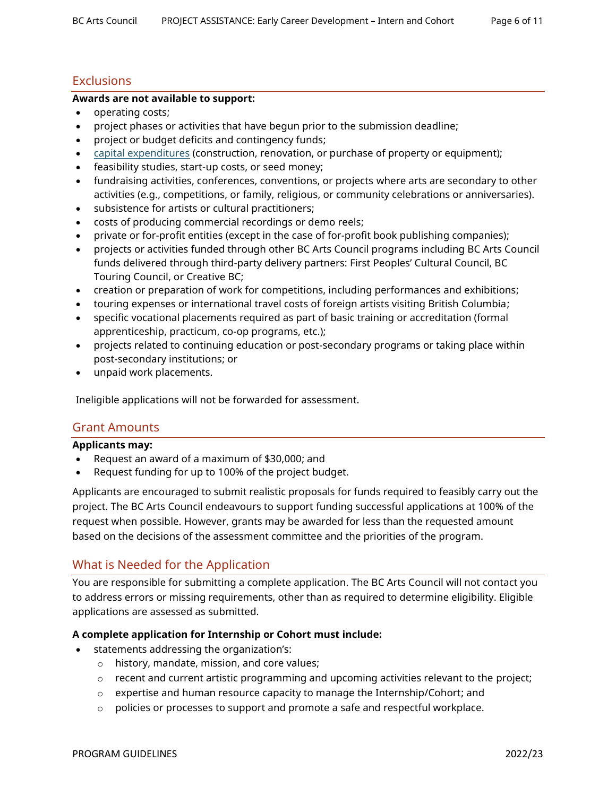# **Exclusions**

## **Awards are not available to support:**

- operating costs;
- project phases or activities that have begun prior to the submission deadline;
- project or budget deficits and contingency funds;
- [capital expenditures](https://www.bcartscouncil.ca/what-are-capital-expenses/) (construction, renovation, or purchase of property or equipment);
- feasibility studies, start-up costs, or seed money;
- fundraising activities, conferences, conventions, or projects where arts are secondary to other activities (e.g., competitions, or family, religious, or community celebrations or anniversaries).
- subsistence for artists or cultural practitioners;
- costs of producing commercial recordings or demo reels;
- private or for-profit entities (except in the case of for-profit book publishing companies);
- projects or activities funded through other BC Arts Council programs including BC Arts Council funds delivered through third-party delivery partners: First Peoples' Cultural Council, BC Touring Council, or Creative BC;
- creation or preparation of work for competitions, including performances and exhibitions;
- touring expenses or international travel costs of foreign artists visiting British Columbia;
- specific vocational placements required as part of basic training or accreditation (formal apprenticeship, practicum, co-op programs, etc.);
- projects related to continuing education or post-secondary programs or taking place within post-secondary institutions; or
- unpaid work placements.

Ineligible applications will not be forwarded for assessment.

# Grant Amounts

#### **Applicants may:**

- Request an award of a maximum of \$30,000; and
- Request funding for up to 100% of the project budget.

Applicants are encouraged to submit realistic proposals for funds required to feasibly carry out the project. The BC Arts Council endeavours to support funding successful applications at 100% of the request when possible. However, grants may be awarded for less than the requested amount based on the decisions of the assessment committee and the priorities of the program.

# What is Needed for the Application

You are responsible for submitting a complete application. The BC Arts Council will not contact you to address errors or missing requirements, other than as required to determine eligibility. Eligible applications are assessed as submitted.

## **A complete application for Internship or Cohort must include:**

- statements addressing the organization's:
	- o history, mandate, mission, and core values;
	- $\circ$  recent and current artistic programming and upcoming activities relevant to the project;
	- $\circ$  expertise and human resource capacity to manage the Internship/Cohort; and
	- o policies or processes to support and promote a safe and respectful workplace.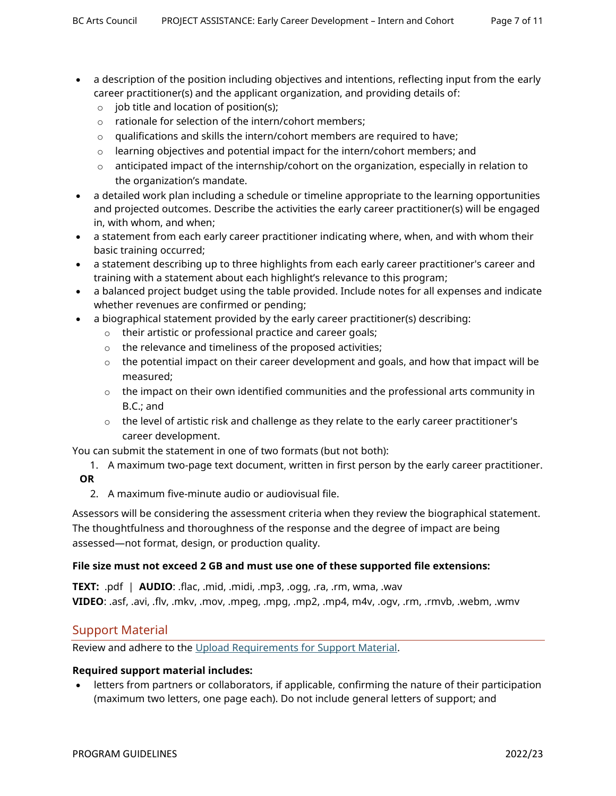- 
- a description of the position including objectives and intentions, reflecting input from the early career practitioner(s) and the applicant organization, and providing details of:
	- $\circ$  job title and location of position(s);
	- o rationale for selection of the intern/cohort members;
	- $\circ$  qualifications and skills the intern/cohort members are required to have;
	- $\circ$  learning objectives and potential impact for the intern/cohort members; and
	- o anticipated impact of the internship/cohort on the organization, especially in relation to the organization's mandate.
- a detailed work plan including a schedule or timeline appropriate to the learning opportunities and projected outcomes. Describe the activities the early career practitioner(s) will be engaged in, with whom, and when;
- a statement from each early career practitioner indicating where, when, and with whom their basic training occurred;
- a statement describing up to three highlights from each early career practitioner's career and training with a statement about each highlight's relevance to this program;
- a balanced project budget using the table provided. Include notes for all expenses and indicate whether revenues are confirmed or pending;
- a biographical statement provided by the early career practitioner(s) describing:
	- o their artistic or professional practice and career goals;
	- o the relevance and timeliness of the proposed activities;
	- $\circ$  the potential impact on their career development and goals, and how that impact will be measured;
	- $\circ$  the impact on their own identified communities and the professional arts community in B.C.; and
	- $\circ$  the level of artistic risk and challenge as they relate to the early career practitioner's career development.

You can submit the statement in one of two formats (but not both):

- 1. A maximum two-page text document, written in first person by the early career practitioner. **OR**
	- 2. A maximum five-minute audio or audiovisual file.

Assessors will be considering the assessment criteria when they review the biographical statement. The thoughtfulness and thoroughness of the response and the degree of impact are being assessed—not format, design, or production quality.

#### **File size must not exceed 2 GB and must use one of these supported file extensions:**

**TEXT:** .pdf | **AUDIO**: .flac, .mid, .midi, .mp3, .ogg, .ra, .rm, wma, .wav **VIDEO**: .asf, .avi, .flv, .mkv, .mov, .mpeg, .mpg, .mp2, .mp4, m4v, .ogv, .rm, .rmvb, .webm, .wmv

# Support Material

Review and adhere to the [Upload Requirements for Support Material.](https://www.bcartscouncil.ca/app/uploads/sites/508/2022/04/upload-requirements-for-supporting-material.pdf)

## **Required support material includes:**

• letters from partners or collaborators, if applicable, confirming the nature of their participation (maximum two letters, one page each). Do not include general letters of support; and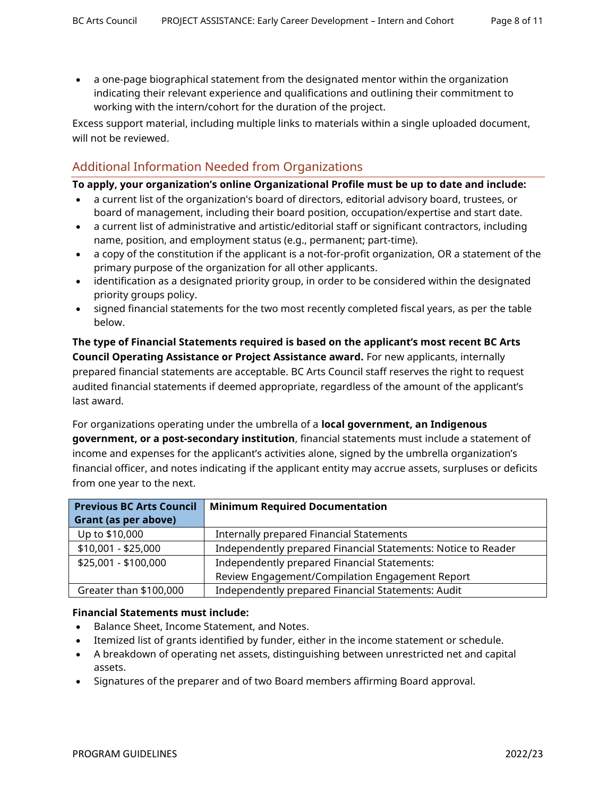• a one-page biographical statement from the designated mentor within the organization indicating their relevant experience and qualifications and outlining their commitment to working with the intern/cohort for the duration of the project.

Excess support material, including multiple links to materials within a single uploaded document, will not be reviewed.

# Additional Information Needed from Organizations

#### **To apply, your organization's online Organizational Profile must be up to date and include:**

- a current list of the organization's board of directors, editorial advisory board, trustees, or board of management, including their board position, occupation/expertise and start date.
- a current list of administrative and artistic/editorial staff or significant contractors, including name, position, and employment status (e.g., permanent; part-time).
- a copy of the constitution if the applicant is a not-for-profit organization, OR a statement of the primary purpose of the organization for all other applicants.
- identification as a designated priority group, in order to be considered within the designated priority groups policy.
- signed financial statements for the two most recently completed fiscal years, as per the table below.

**The type of Financial Statements required is based on the applicant's most recent BC Arts Council Operating Assistance or Project Assistance award.** For new applicants, internally prepared financial statements are acceptable. BC Arts Council staff reserves the right to request audited financial statements if deemed appropriate, regardless of the amount of the applicant's last award.

For organizations operating under the umbrella of a **local government, an Indigenous government, or a post-secondary institution**, financial statements must include a statement of income and expenses for the applicant's activities alone, signed by the umbrella organization's financial officer, and notes indicating if the applicant entity may accrue assets, surpluses or deficits from one year to the next.

| <b>Previous BC Arts Council</b> | <b>Minimum Required Documentation</b>                         |
|---------------------------------|---------------------------------------------------------------|
| Grant (as per above)            |                                                               |
| Up to \$10,000                  | Internally prepared Financial Statements                      |
| $$10,001 - $25,000$             | Independently prepared Financial Statements: Notice to Reader |
| \$25,001 - \$100,000            | Independently prepared Financial Statements:                  |
|                                 | Review Engagement/Compilation Engagement Report               |
| Greater than \$100,000          | Independently prepared Financial Statements: Audit            |

#### **Financial Statements must include:**

- Balance Sheet, Income Statement, and Notes.
- Itemized list of grants identified by funder, either in the income statement or schedule.
- A breakdown of operating net assets, distinguishing between unrestricted net and capital assets.
- Signatures of the preparer and of two Board members affirming Board approval.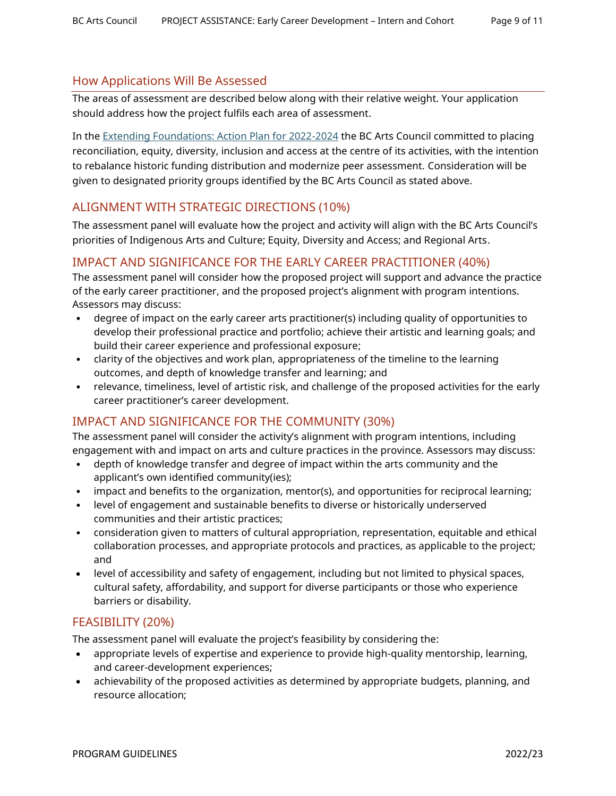## How Applications Will Be Assessed

The areas of assessment are described below along with their relative weight. Your application should address how the project fulfils each area of assessment.

In the [Extending Foundations: Action Plan for 2022-2024](https://www.bcartscouncil.ca/priorities/) the BC Arts Council committed to placing reconciliation, equity, diversity, inclusion and access at the centre of its activities, with the intention to rebalance historic funding distribution and modernize peer assessment. Consideration will be given to designated priority groups identified by the BC Arts Council as stated above.

# ALIGNMENT WITH STRATEGIC DIRECTIONS (10%)

The assessment panel will evaluate how the project and activity will align with the BC Arts Council's priorities of Indigenous Arts and Culture; Equity, Diversity and Access; and Regional Arts.

# IMPACT AND SIGNIFICANCE FOR THE EARLY CAREER PRACTITIONER (40%)

The assessment panel will consider how the proposed project will support and advance the practice of the early career practitioner, and the proposed project's alignment with program intentions. Assessors may discuss:

- degree of impact on the early career arts practitioner(s) including quality of opportunities to develop their professional practice and portfolio; achieve their artistic and learning goals; and build their career experience and professional exposure;
- clarity of the objectives and work plan, appropriateness of the timeline to the learning outcomes, and depth of knowledge transfer and learning; and
- relevance, timeliness, level of artistic risk, and challenge of the proposed activities for the early career practitioner's career development.

# IMPACT AND SIGNIFICANCE FOR THE COMMUNITY (30%)

The assessment panel will consider the activity's alignment with program intentions, including engagement with and impact on arts and culture practices in the province. Assessors may discuss:

- depth of knowledge transfer and degree of impact within the arts community and the applicant's own identified community(ies);
- impact and benefits to the organization, mentor(s), and opportunities for reciprocal learning;
- level of engagement and sustainable benefits to diverse or historically underserved communities and their artistic practices;
- consideration given to matters of cultural appropriation, representation, equitable and ethical collaboration processes, and appropriate protocols and practices, as applicable to the project; and
- level of accessibility and safety of engagement, including but not limited to physical spaces, cultural safety, affordability, and support for diverse participants or those who experience barriers or disability.

# FEASIBILITY (20%)

The assessment panel will evaluate the project's feasibility by considering the:

- appropriate levels of expertise and experience to provide high-quality mentorship, learning, and career-development experiences;
- achievability of the proposed activities as determined by appropriate budgets, planning, and resource allocation;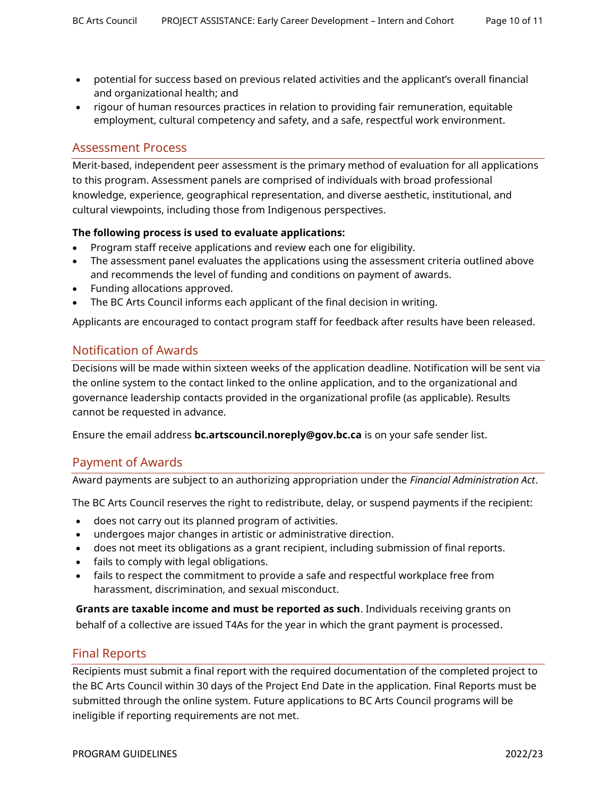- potential for success based on previous related activities and the applicant's overall financial and organizational health; and
- rigour of human resources practices in relation to providing fair remuneration, equitable employment, cultural competency and safety, and a safe, respectful work environment.

## Assessment Process

Merit-based, independent peer assessment is the primary method of evaluation for all applications to this program. Assessment panels are comprised of individuals with broad professional knowledge, experience, geographical representation, and diverse aesthetic, institutional, and cultural viewpoints, including those from Indigenous perspectives.

#### **The following process is used to evaluate applications:**

- Program staff receive applications and review each one for eligibility.
- The assessment panel evaluates the applications using the assessment criteria outlined above and recommends the level of funding and conditions on payment of awards.
- Funding allocations approved.
- The BC Arts Council informs each applicant of the final decision in writing.

Applicants are encouraged to contact program staff for feedback after results have been released.

## Notification of Awards

Decisions will be made within sixteen weeks of the application deadline. Notification will be sent via the online system to the contact linked to the online application, and to the organizational and governance leadership contacts provided in the organizational profile (as applicable). Results cannot be requested in advance.

Ensure the email address **bc.artscouncil.noreply@gov.bc.ca** is on your safe sender list.

## Payment of Awards

Award payments are subject to an authorizing appropriation under the *Financial Administration Act*.

The BC Arts Council reserves the right to redistribute, delay, or suspend payments if the recipient:

- does not carry out its planned program of activities.
- undergoes major changes in artistic or administrative direction.
- does not meet its obligations as a grant recipient, including submission of final reports.
- fails to comply with legal obligations.
- fails to respect the commitment to provide a safe and respectful workplace free from harassment, discrimination, and sexual misconduct.

**Grants are taxable income and must be reported as such**. Individuals receiving grants on behalf of a collective are issued T4As for the year in which the grant payment is processed.

## Final Reports

Recipients must submit a final report with the required documentation of the completed project to the BC Arts Council within 30 days of the Project End Date in the application. Final Reports must be submitted through the online system. Future applications to BC Arts Council programs will be ineligible if reporting requirements are not met.